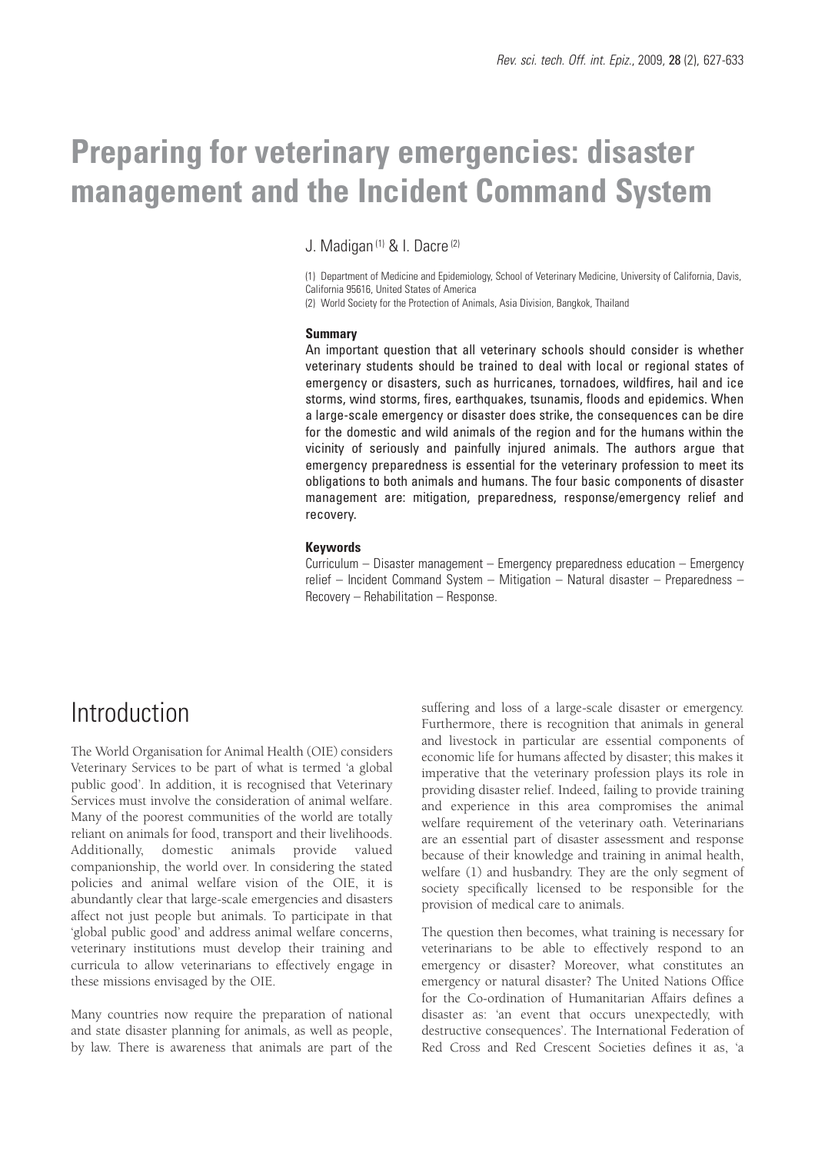# **Preparing for veterinary emergencies: disaster management and the Incident Command System**

J. Madigan (1) & I. Dacre (2)

(1) Department of Medicine and Epidemiology, School of Veterinary Medicine, University of California, Davis, California 95616, United States of America

(2) World Society for the Protection of Animals, Asia Division, Bangkok, Thailand

#### **Summary**

An important question that all veterinary schools should consider is whether veterinary students should be trained to deal with local or regional states of emergency or disasters, such as hurricanes, tornadoes, wildfires, hail and ice storms, wind storms, fires, earthquakes, tsunamis, floods and epidemics. When a large-scale emergency or disaster does strike, the consequences can be dire for the domestic and wild animals of the region and for the humans within the vicinity of seriously and painfully injured animals. The authors argue that emergency preparedness is essential for the veterinary profession to meet its obligations to both animals and humans. The four basic components of disaster management are: mitigation, preparedness, response/emergency relief and recovery.

### **Keywords**

Curriculum – Disaster management – Emergency preparedness education – Emergency relief – Incident Command System – Mitigation – Natural disaster – Preparedness – Recovery – Rehabilitation – Response.

## Introduction

The World Organisation for Animal Health (OIE) considers Veterinary Services to be part of what is termed 'a global public good'. In addition, it is recognised that Veterinary Services must involve the consideration of animal welfare. Many of the poorest communities of the world are totally reliant on animals for food, transport and their livelihoods. Additionally, domestic animals provide valued companionship, the world over. In considering the stated policies and animal welfare vision of the OIE, it is abundantly clear that large-scale emergencies and disasters affect not just people but animals. To participate in that 'global public good' and address animal welfare concerns, veterinary institutions must develop their training and curricula to allow veterinarians to effectively engage in these missions envisaged by the OIE.

Many countries now require the preparation of national and state disaster planning for animals, as well as people, by law. There is awareness that animals are part of the

suffering and loss of a large-scale disaster or emergency. Furthermore, there is recognition that animals in general and livestock in particular are essential components of economic life for humans affected by disaster; this makes it imperative that the veterinary profession plays its role in providing disaster relief. Indeed, failing to provide training and experience in this area compromises the animal welfare requirement of the veterinary oath. Veterinarians are an essential part of disaster assessment and response because of their knowledge and training in animal health, welfare (1) and husbandry. They are the only segment of society specifically licensed to be responsible for the provision of medical care to animals.

The question then becomes, what training is necessary for veterinarians to be able to effectively respond to an emergency or disaster? Moreover, what constitutes an emergency or natural disaster? The United Nations Office for the Co-ordination of Humanitarian Affairs defines a disaster as: 'an event that occurs unexpectedly, with destructive consequences'. The International Federation of Red Cross and Red Crescent Societies defines it as, 'a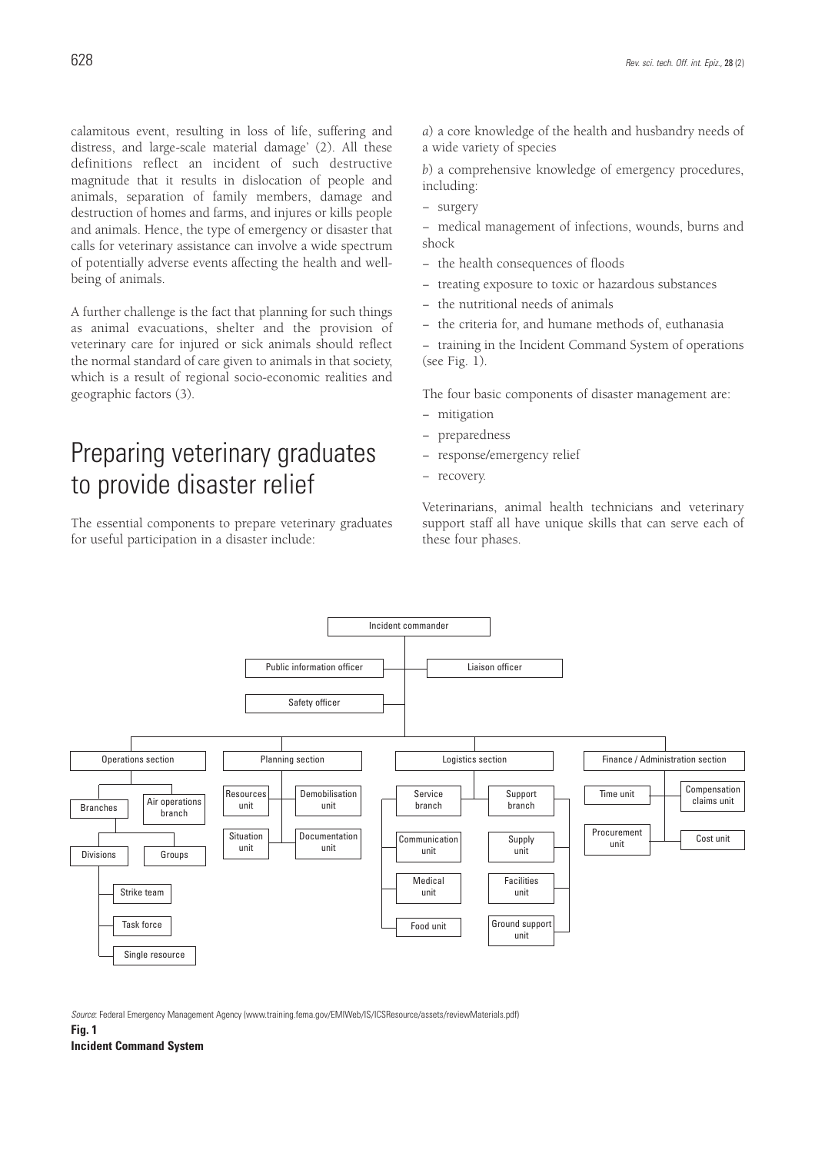calamitous event, resulting in loss of life, suffering and distress, and large-scale material damage' (2). All these definitions reflect an incident of such destructive magnitude that it results in dislocation of people and animals, separation of family members, damage and destruction of homes and farms, and injures or kills people and animals. Hence, the type of emergency or disaster that calls for veterinary assistance can involve a wide spectrum of potentially adverse events affecting the health and wellbeing of animals.

A further challenge is the fact that planning for such things as animal evacuations, shelter and the provision of veterinary care for injured or sick animals should reflect the normal standard of care given to animals in that society, which is a result of regional socio-economic realities and geographic factors (3).

# Preparing veterinary graduates to provide disaster relief

The essential components to prepare veterinary graduates for useful participation in a disaster include:

*a*) a core knowledge of the health and husbandry needs of a wide variety of species

*b*) a comprehensive knowledge of emergency procedures, including:

- − surgery
- − medical management of infections, wounds, burns and shock
- − the health consequences of floods
- treating exposure to toxic or hazardous substances
- − the nutritional needs of animals
- − the criteria for, and humane methods of, euthanasia
- − training in the Incident Command System of operations (see Fig. 1).

The four basic components of disaster management are:

- − mitigation
- − preparedness
- − response/emergency relief
- − recovery.

Veterinarians, animal health technicians and veterinary support staff all have unique skills that can serve each of these four phases.



*Source*: Federal Emergency Management Agency (www.training.fema.gov/EMIWeb/IS/ICSResource/assets/reviewMaterials.pdf)

**Fig. 1**

**Incident Command System**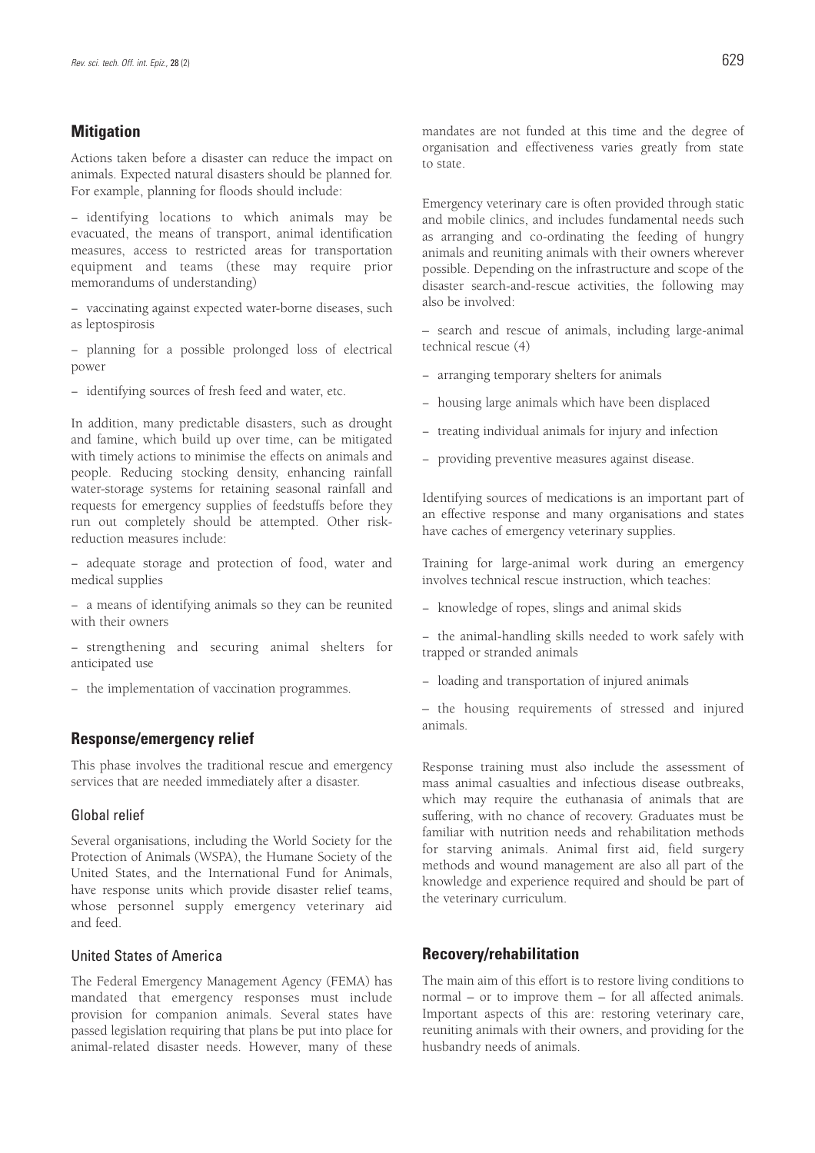## **Mitigation**

Actions taken before a disaster can reduce the impact on animals. Expected natural disasters should be planned for. For example, planning for floods should include:

− identifying locations to which animals may be evacuated, the means of transport, animal identification measures, access to restricted areas for transportation equipment and teams (these may require prior memorandums of understanding)

− vaccinating against expected water-borne diseases, such as leptospirosis

− planning for a possible prolonged loss of electrical power

− identifying sources of fresh feed and water, etc.

In addition, many predictable disasters, such as drought and famine, which build up over time, can be mitigated with timely actions to minimise the effects on animals and people. Reducing stocking density, enhancing rainfall water-storage systems for retaining seasonal rainfall and requests for emergency supplies of feedstuffs before they run out completely should be attempted. Other riskreduction measures include:

− adequate storage and protection of food, water and medical supplies

− a means of identifying animals so they can be reunited with their owners

− strengthening and securing animal shelters for anticipated use

− the implementation of vaccination programmes.

## **Response/emergency relief**

This phase involves the traditional rescue and emergency services that are needed immediately after a disaster.

## Global relief

Several organisations, including the World Society for the Protection of Animals (WSPA), the Humane Society of the United States, and the International Fund for Animals, have response units which provide disaster relief teams, whose personnel supply emergency veterinary aid and feed.

## United States of America

The Federal Emergency Management Agency (FEMA) has mandated that emergency responses must include provision for companion animals. Several states have passed legislation requiring that plans be put into place for animal-related disaster needs. However, many of these

mandates are not funded at this time and the degree of organisation and effectiveness varies greatly from state to state.

Emergency veterinary care is often provided through static and mobile clinics, and includes fundamental needs such as arranging and co-ordinating the feeding of hungry animals and reuniting animals with their owners wherever possible. Depending on the infrastructure and scope of the disaster search-and-rescue activities, the following may also be involved:

– search and rescue of animals, including large-animal technical rescue (4)

- − arranging temporary shelters for animals
- − housing large animals which have been displaced
- − treating individual animals for injury and infection
- − providing preventive measures against disease.

Identifying sources of medications is an important part of an effective response and many organisations and states have caches of emergency veterinary supplies.

Training for large-animal work during an emergency involves technical rescue instruction, which teaches:

− knowledge of ropes, slings and animal skids

− the animal-handling skills needed to work safely with trapped or stranded animals

− loading and transportation of injured animals

– the housing requirements of stressed and injured animals.

Response training must also include the assessment of mass animal casualties and infectious disease outbreaks, which may require the euthanasia of animals that are suffering, with no chance of recovery. Graduates must be familiar with nutrition needs and rehabilitation methods for starving animals. Animal first aid, field surgery methods and wound management are also all part of the knowledge and experience required and should be part of the veterinary curriculum.

## **Recovery/rehabilitation**

The main aim of this effort is to restore living conditions to normal – or to improve them – for all affected animals. Important aspects of this are: restoring veterinary care, reuniting animals with their owners, and providing for the husbandry needs of animals.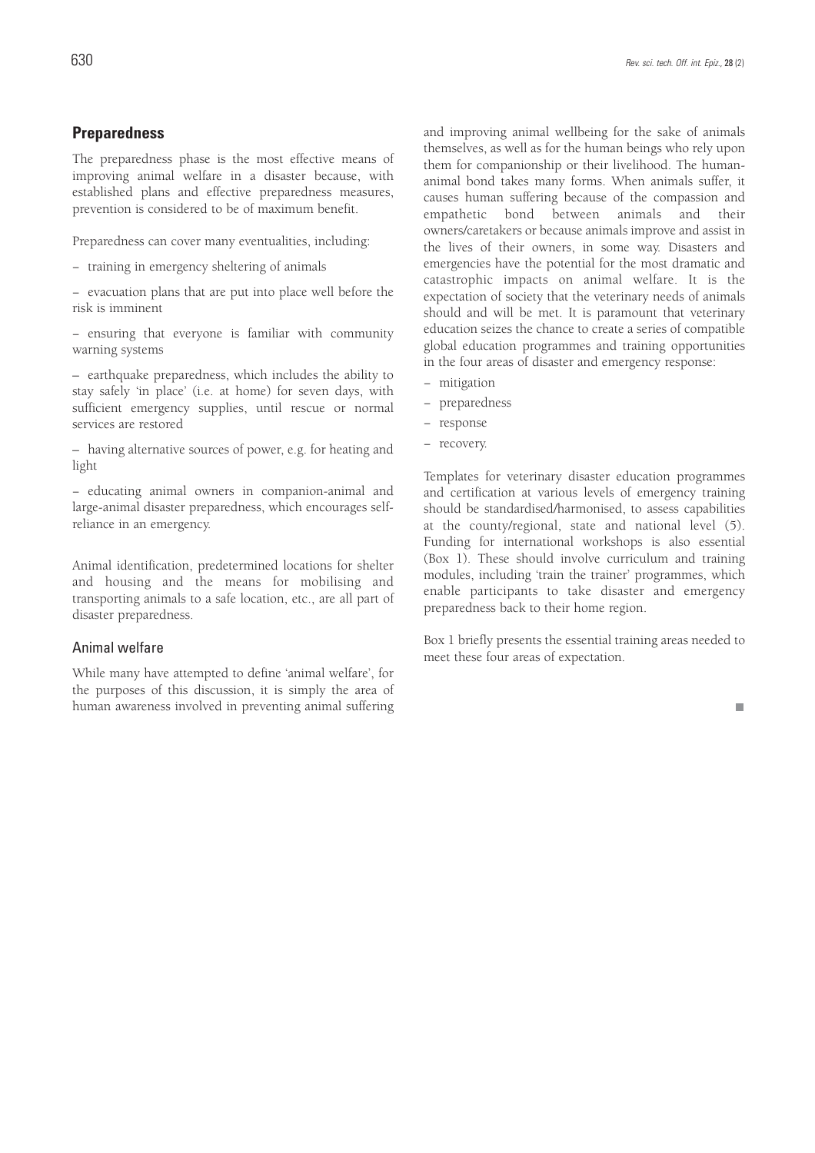## **Preparedness**

The preparedness phase is the most effective means of improving animal welfare in a disaster because, with established plans and effective preparedness measures, prevention is considered to be of maximum benefit.

Preparedness can cover many eventualities, including:

− training in emergency sheltering of animals

− evacuation plans that are put into place well before the risk is imminent

− ensuring that everyone is familiar with community warning systems

– earthquake preparedness, which includes the ability to stay safely 'in place' (i.e. at home) for seven days, with sufficient emergency supplies, until rescue or normal services are restored

– having alternative sources of power, e.g. for heating and light

− educating animal owners in companion-animal and large-animal disaster preparedness, which encourages selfreliance in an emergency.

Animal identification, predetermined locations for shelter and housing and the means for mobilising and transporting animals to a safe location, etc., are all part of disaster preparedness.

## Animal welfare

While many have attempted to define 'animal welfare', for the purposes of this discussion, it is simply the area of human awareness involved in preventing animal suffering and improving animal wellbeing for the sake of animals themselves, as well as for the human beings who rely upon them for companionship or their livelihood. The humananimal bond takes many forms. When animals suffer, it causes human suffering because of the compassion and empathetic bond between animals and their owners/caretakers or because animals improve and assist in the lives of their owners, in some way. Disasters and emergencies have the potential for the most dramatic and catastrophic impacts on animal welfare. It is the expectation of society that the veterinary needs of animals should and will be met. It is paramount that veterinary education seizes the chance to create a series of compatible global education programmes and training opportunities in the four areas of disaster and emergency response:

- − mitigation
- − preparedness
- − response
- − recovery.

Templates for veterinary disaster education programmes and certification at various levels of emergency training should be standardised/harmonised, to assess capabilities at the county/regional, state and national level (5). Funding for international workshops is also essential (Box 1). These should involve curriculum and training modules, including 'train the trainer' programmes, which enable participants to take disaster and emergency preparedness back to their home region.

Box 1 briefly presents the essential training areas needed to meet these four areas of expectation.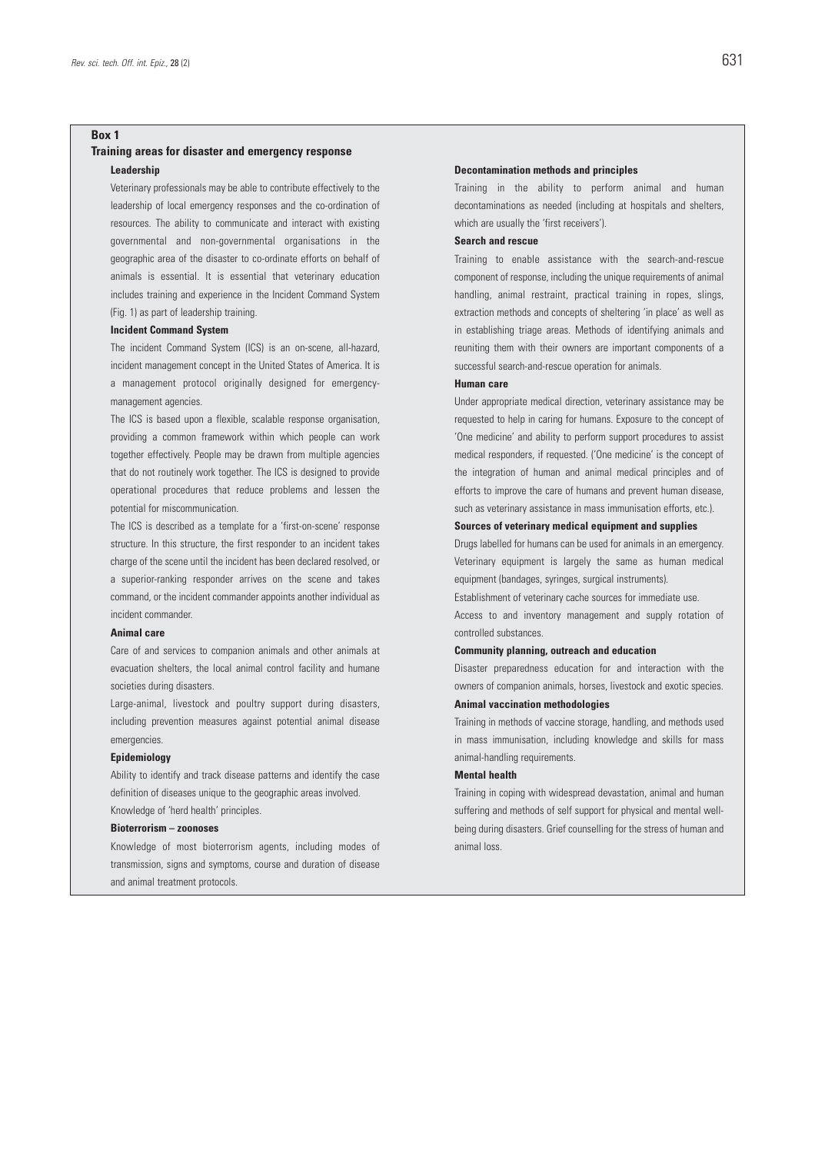#### **Box 1**

#### **Training areas for disaster and emergency response Leadership**

Veterinary professionals may be able to contribute effectively to the leadership of local emergency responses and the co-ordination of resources. The ability to communicate and interact with existing governmental and non-governmental organisations in the geographic area of the disaster to co-ordinate efforts on behalf of animals is essential. It is essential that veterinary education includes training and experience in the Incident Command System (Fig. 1) as part of leadership training.

#### **Incident Command System**

The incident Command System (ICS) is an on-scene, all-hazard, incident management concept in the United States of America. It is a management protocol originally designed for emergencymanagement agencies.

The ICS is based upon a flexible, scalable response organisation, providing a common framework within which people can work together effectively. People may be drawn from multiple agencies that do not routinely work together. The ICS is designed to provide operational procedures that reduce problems and lessen the potential for miscommunication.

The ICS is described as a template for a 'first-on-scene' response structure. In this structure, the first responder to an incident takes charge of the scene until the incident has been declared resolved, or a superior-ranking responder arrives on the scene and takes command, or the incident commander appoints another individual as incident commander.

#### **Animal care**

Care of and services to companion animals and other animals at evacuation shelters, the local animal control facility and humane societies during disasters.

Large-animal, livestock and poultry support during disasters, including prevention measures against potential animal disease emergencies.

#### **Epidemiology**

Ability to identify and track disease patterns and identify the case definition of diseases unique to the geographic areas involved. Knowledge of 'herd health' principles.

#### **Bioterrorism – zoonoses**

Knowledge of most bioterrorism agents, including modes of transmission, signs and symptoms, course and duration of disease and animal treatment protocols.

#### **Decontamination methods and principles**

Training in the ability to perform animal and human decontaminations as needed (including at hospitals and shelters, which are usually the 'first receivers').

#### **Search and rescue**

Training to enable assistance with the search-and-rescue component of response, including the unique requirements of animal handling, animal restraint, practical training in ropes, slings, extraction methods and concepts of sheltering 'in place' as well as in establishing triage areas. Methods of identifying animals and reuniting them with their owners are important components of a successful search-and-rescue operation for animals.

#### **Human care**

Under appropriate medical direction, veterinary assistance may be requested to help in caring for humans. Exposure to the concept of 'One medicine' and ability to perform support procedures to assist medical responders, if requested. ('One medicine' is the concept of the integration of human and animal medical principles and of efforts to improve the care of humans and prevent human disease, such as veterinary assistance in mass immunisation efforts, etc.).

#### **Sources of veterinary medical equipment and supplies**

Drugs labelled for humans can be used for animals in an emergency. Veterinary equipment is largely the same as human medical equipment (bandages, syringes, surgical instruments).

Establishment of veterinary cache sources for immediate use.

Access to and inventory management and supply rotation of controlled substances.

#### **Community planning, outreach and education**

Disaster preparedness education for and interaction with the owners of companion animals, horses, livestock and exotic species.

#### **Animal vaccination methodologies**

Training in methods of vaccine storage, handling, and methods used in mass immunisation, including knowledge and skills for mass animal-handling requirements.

#### **Mental health**

Training in coping with widespread devastation, animal and human suffering and methods of self support for physical and mental wellbeing during disasters. Grief counselling for the stress of human and animal loss.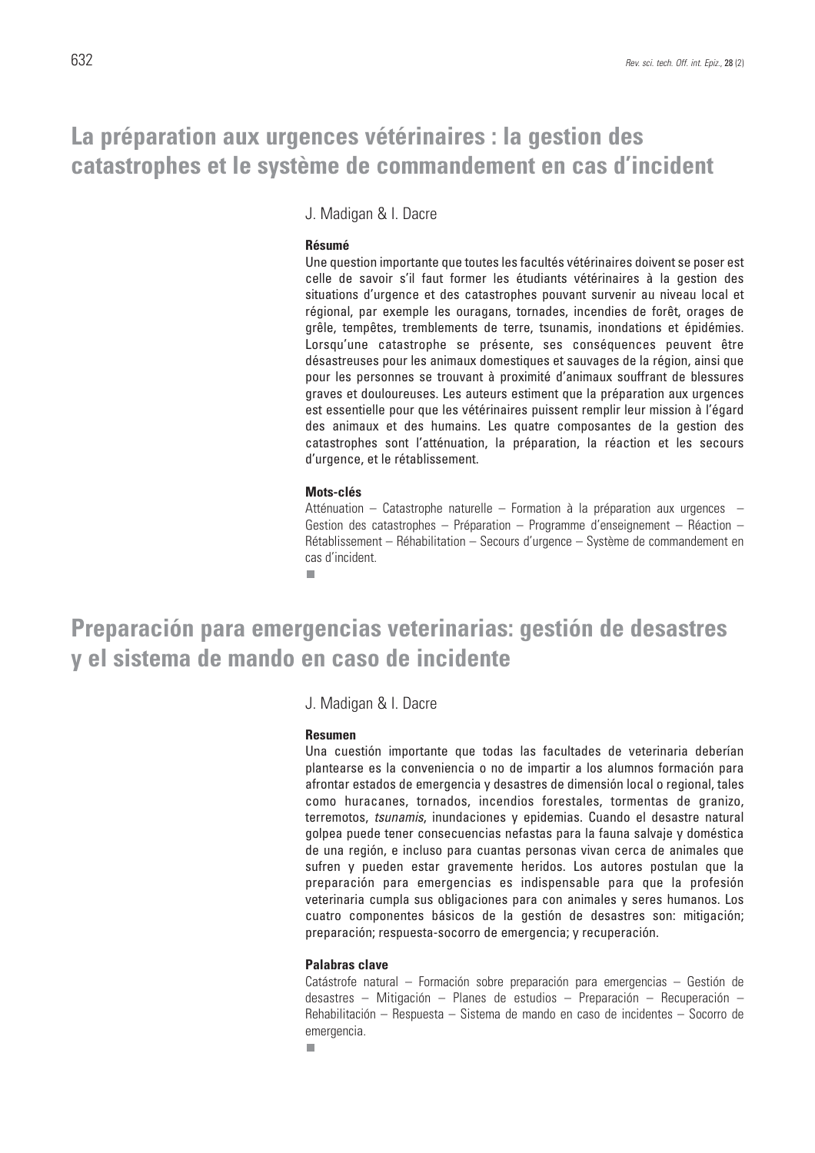## **La préparation aux urgences vétérinaires : la gestion des catastrophes et le système de commandement en cas d'incident**

J. Madigan & I. Dacre

## **Résumé**

Une question importante que toutes les facultés vétérinaires doivent se poser est celle de savoir s'il faut former les étudiants vétérinaires à la gestion des situations d'urgence et des catastrophes pouvant survenir au niveau local et régional, par exemple les ouragans, tornades, incendies de forêt, orages de grêle, tempêtes, tremblements de terre, tsunamis, inondations et épidémies. Lorsqu'une catastrophe se présente, ses conséquences peuvent être désastreuses pour les animaux domestiques et sauvages de la région, ainsi que pour les personnes se trouvant à proximité d'animaux souffrant de blessures graves et douloureuses. Les auteurs estiment que la préparation aux urgences est essentielle pour que les vétérinaires puissent remplir leur mission à l'égard des animaux et des humains. Les quatre composantes de la gestion des catastrophes sont l'atténuation, la préparation, la réaction et les secours d'urgence, et le rétablissement.

### **Mots-clés**

Atténuation – Catastrophe naturelle – Formation à la préparation aux urgences – Gestion des catastrophes – Préparation – Programme d'enseignement – Réaction – Rétablissement – Réhabilitation – Secours d'urgence – Système de commandement en cas d'incident.

п

## **Preparación para emergencias veterinarias: gestión de desastres y el sistema de mando en caso de incidente**

J. Madigan & I. Dacre

### **Resumen**

Una cuestión importante que todas las facultades de veterinaria deberían plantearse es la conveniencia o no de impartir a los alumnos formación para afrontar estados de emergencia y desastres de dimensión local o regional, tales como huracanes, tornados, incendios forestales, tormentas de granizo, terremotos, *tsunamis*, inundaciones y epidemias. Cuando el desastre natural golpea puede tener consecuencias nefastas para la fauna salvaje y doméstica de una región, e incluso para cuantas personas vivan cerca de animales que sufren y pueden estar gravemente heridos. Los autores postulan que la preparación para emergencias es indispensable para que la profesión veterinaria cumpla sus obligaciones para con animales y seres humanos. Los cuatro componentes básicos de la gestión de desastres son: mitigación; preparación; respuesta-socorro de emergencia; y recuperación.

## **Palabras clave**

п

Catástrofe natural – Formación sobre preparación para emergencias – Gestión de desastres – Mitigación – Planes de estudios – Preparación – Recuperación – Rehabilitación – Respuesta – Sistema de mando en caso de incidentes – Socorro de emergencia.